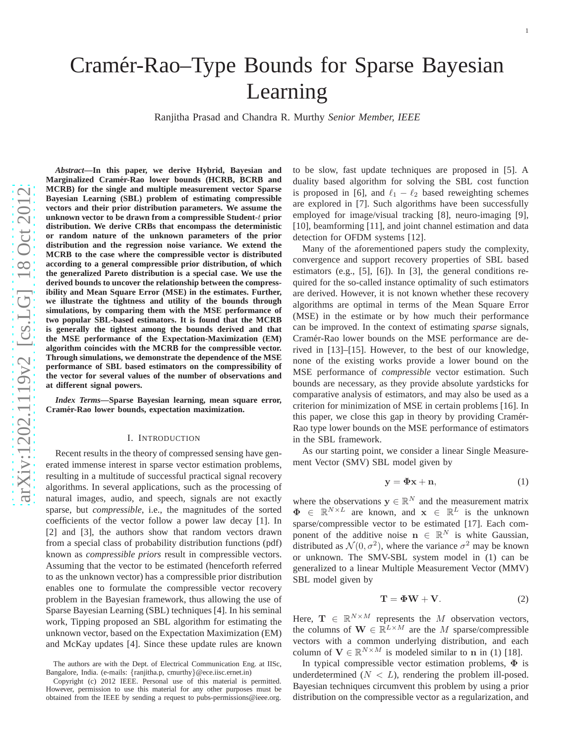# Cramér-Rao–Type Bounds for Sparse Bayesian Learning

Ranjitha Prasad and Chandra R. Murthy *Senior Member, IEEE*

*Abstract***—In this paper, we derive Hybrid, Bayesian and Marginalized Cramer-Rao lower bounds (HCRB, BCRB and ´ MCRB) for the single and multiple measurement vector Sparse Bayesian Learning (SBL) problem of estimating compressibl e vectors and their prior distribution parameters. We assume the unknown vector to be drawn from a compressible Student-**t **prior distribution. We derive CRBs that encompass the deterministic or random nature of the unknown parameters of the prior distribution and the regression noise variance. We extend the MCRB to the case where the compressible vector is distribute d according to a general compressible prior distribution, of which the generalized Pareto distribution is a special case. We use the derived bounds to uncover the relationship between the compressibility and Mean Square Error (MSE) in the estimates. Further, we illustrate the tightness and utility of the bounds throug h simulations, by comparing them with the MSE performance of two popular SBL-based estimators. It is found that the MCRB is generally the tightest among the bounds derived and that the MSE performance of the Expectation-Maximization (EM) algorithm coincides with the MCRB for the compressible vector. Through simulations, we demonstrate the dependence of the MSE performance of SBL based estimators on the compressibility of the vector for several values of the number of observations and at different signal powers.**

*Index Terms***—Sparse Bayesian learning, mean square error, Cramer-Rao lower bounds, expectation maximization. ´**

#### I. INTRODUCTION

Recent results in the theory of compressed sensing have generated immense interest in sparse vector estimation problems, resulting in a multitude of successful practical signal recovery algorithms. In several applications, such as the processing of natural images, audio, and speech, signals are not exactly sparse, but *compressible*, i.e., the magnitudes of the sorted coefficients of the vector follow a power law decay [1]. In [2] and [3], the authors show that random vectors drawn from a special class of probability distribution functions (pdf) known as *compressible priors* result in compressible vectors. Assuming that the vector to be estimated (henceforth referred to as the unknown vector) has a compressible prior distribution enables one to formulate the compressible vector recovery problem in the Bayesian framework, thus allowing the use of Sparse Bayesian Learning (SBL) techniques [4]. In his seminal work, Tipping proposed an SBL algorithm for estimating the unknown vector, based on the Expectation Maximization (EM) and McKay updates [4]. Since these update rules are known

to be slow, fast update techniques are proposed in [5]. A duality based algorithm for solving the SBL cost function is proposed in [6], and  $\ell_1 - \ell_2$  based reweighting schemes are explored in [7]. Such algorithms have been successfully employed for image/visual tracking [8], neuro-imaging [9] , [10], beamforming [11], and joint channel estimation and data detection for OFDM systems [12].

Many of the aforementioned papers study the complexity, convergence and support recovery properties of SBL based estimators (e.g., [5], [6]). In [3], the general conditions required for the so-called instance optimality of such estimators are derived. However, it is not known whether these recovery algorithms are optimal in terms of the Mean Square Error (MSE) in the estimate or by how much their performance can be improved. In the context of estimating *sparse* signals, Cramér-Rao lower bounds on the MSE performance are derived in [13]–[15]. However, to the best of our knowledge, none of the existing works provide a lower bound on the MSE performance of *compressible* vector estimation. Such bounds are necessary, as they provide absolute yardsticks for comparative analysis of estimators, and may also be used as a criterion for minimization of MSE in certain problems [16]. In this paper, we close this gap in theory by providing Cramér-Rao type lower bounds on the MSE performance of estimators in the SBL framework.

As our starting point, we consider a linear Single Measurement Vector (SMV) SBL model given by

$$
y = \Phi x + n,\tag{1}
$$

where the observations  $y \in \mathbb{R}^N$  and the measurement matrix  $\Phi \in \mathbb{R}^{N \times L}$  are known, and  $\mathbf{x} \in \mathbb{R}^{L}$  is the unknown sparse/compressible vector to be estimated [17]. Each component of the additive noise  $\mathbf{n} \in \mathbb{R}^N$  is white Gaussian, distributed as  $\mathcal{N}(0, \sigma^2)$ , where the variance  $\sigma^2$  may be known or unknown. The SMV-SBL system model in (1) can be generalized to a linear Multiple Measurement Vector (MMV) SBL model given by

$$
\mathbf{T} = \mathbf{\Phi}\mathbf{W} + \mathbf{V}.\tag{2}
$$

Here,  $\mathbf{T} \in \mathbb{R}^{N \times M}$  represents the M observation vectors, the columns of  $\mathbf{W} \in \mathbb{R}^{L \times M}$  are the M sparse/compressible vectors with a common underlying distribution, and each column of  $V \in \mathbb{R}^{N \times M}$  is modeled similar to n in (1) [18].

In typical compressible vector estimation problems,  $\Phi$  is underdetermined  $(N < L)$ , rendering the problem ill-posed. Bayesian techniques circumvent this problem by using a prio r distribution on the compressible vector as a regularization, and

The authors are with the Dept. of Electrical Communication Eng. at IISc, Bangalore, India. (e-mails: {ranjitha.p, cmurthy }@ece.iisc.ernet.in)

Copyright (c) 2012 IEEE. Personal use of this material is permitted. However, permission to use this material for any other purposes must be obtained from the IEEE by sending a request to pubs-permissions@ieee.org.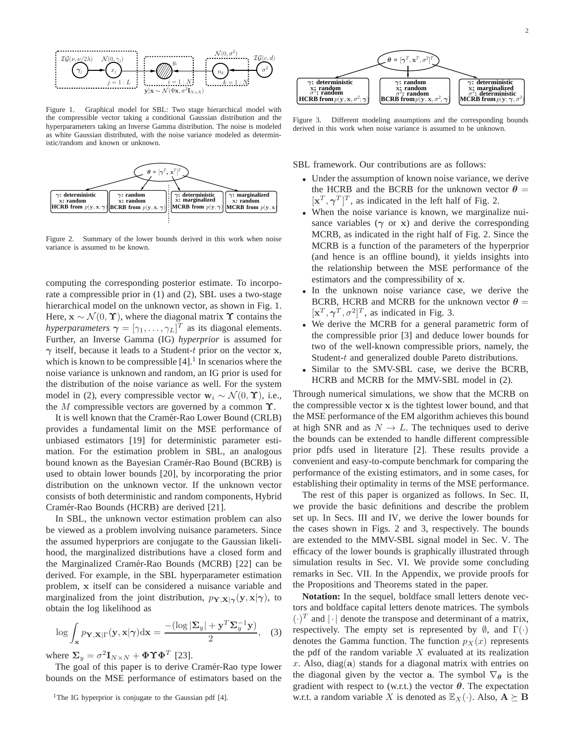

Figure 1. Graphical model for SBL: Two stage hierarchical model with the compressible vector taking a conditional Gaussian distribution and the hyperparameters taking an Inverse Gamma distribution. The noise is modeled as white Gaussian distributed, with the noise variance modeled as deterministic/random and known or unknown.



Figure 2. Summary of the lower bounds derived in this work when noise variance is assumed to be known.

computing the corresponding posterior estimate. To incorporate a compressible prior in (1) and (2), SBL uses a two-stage hierarchical model on the unknown vector, as shown in Fig. 1. Here,  $\mathbf{x} \sim \mathcal{N}(0, \Upsilon)$ , where the diagonal matrix  $\Upsilon$  contains the *hyperparameters*  $\boldsymbol{\gamma} = [\gamma_1, \dots, \gamma_L]^T$  as its diagonal elements. Further, an Inverse Gamma (IG) *hyperprior* is assumed for  $\gamma$  itself, because it leads to a Student-t prior on the vector x, which is known to be compressible  $[4]$ .<sup>1</sup> In scenarios where the noise variance is unknown and random, an IG prior is used for the distribution of the noise variance as well. For the system model in (2), every compressible vector  $w_i \sim \mathcal{N}(0, \Upsilon)$ , i.e., the M compressible vectors are governed by a common  $\Upsilon$ .

It is well known that the Cramér-Rao Lower Bound (CRLB) provides a fundamental limit on the MSE performance of unbiased estimators [19] for deterministic parameter estimation. For the estimation problem in SBL, an analogous bound known as the Bayesian Cramér-Rao Bound (BCRB) is used to obtain lower bounds [20], by incorporating the prior distribution on the unknown vector. If the unknown vector consists of both deterministic and random components, Hybrid Cramér-Rao Bounds (HCRB) are derived [21].

In SBL, the unknown vector estimation problem can also be viewed as a problem involving nuisance parameters. Since the assumed hyperpriors are conjugate to the Gaussian likelihood, the marginalized distributions have a closed form and the Marginalized Cramér-Rao Bounds (MCRB) [22] can be derived. For example, in the SBL hyperparameter estimation problem, x itself can be considered a nuisance variable and marginalized from the joint distribution,  $p_{\mathbf{Y},\mathbf{X}|\boldsymbol{\gamma}}(\mathbf{y},\mathbf{x}|\boldsymbol{\gamma})$ , to obtain the log likelihood as

$$
\log \int_{\mathbf{x}} p_{\mathbf{Y},\mathbf{X}|\Gamma}(\mathbf{y}, \mathbf{x}|\boldsymbol{\gamma}) d\mathbf{x} = \frac{- (\log |\Sigma_y| + \mathbf{y}^T \Sigma_y^{-1} \mathbf{y})}{2}, \quad (3)
$$

where  $\Sigma_y = \sigma^2 \mathbf{I}_{N \times N} + \mathbf{\Phi} \mathbf{\hat{T}} \mathbf{\Phi}^T$  [23].

The goal of this paper is to derive Cramér-Rao type lower bounds on the MSE performance of estimators based on the



2



Figure 3. Different modeling assumptions and the corresponding bounds derived in this work when noise variance is assumed to be unknown.

SBL framework. Our contributions are as follows:

- Under the assumption of known noise variance, we derive the HCRB and the BCRB for the unknown vector  $\theta =$  $[\mathbf{x}^T, \boldsymbol{\gamma}^T]^T$ , as indicated in the left half of Fig. 2.
- When the noise variance is known, we marginalize nuisance variables  $(\gamma \text{ or } x)$  and derive the corresponding MCRB, as indicated in the right half of Fig. 2. Since the MCRB is a function of the parameters of the hyperprior (and hence is an offline bound), it yields insights into the relationship between the MSE performance of the estimators and the compressibility of x.
- In the unknown noise variance case, we derive the BCRB, HCRB and MCRB for the unknown vector  $\theta =$  $[\mathbf{x}^T, \boldsymbol{\gamma}^T, \sigma^2]^T$ , as indicated in Fig. 3.
- We derive the MCRB for a general parametric form of the compressible prior [3] and deduce lower bounds for two of the well-known compressible priors, namely, the Student-t and generalized double Pareto distributions.
- Similar to the SMV-SBL case, we derive the BCRB, HCRB and MCRB for the MMV-SBL model in (2).

Through numerical simulations, we show that the MCRB on the compressible vector  $x$  is the tightest lower bound, and that the MSE performance of the EM algorithm achieves this bound at high SNR and as  $N \to L$ . The techniques used to derive the bounds can be extended to handle different compressible prior pdfs used in literature [2]. These results provide a convenient and easy-to-compute benchmark for comparing the performance of the existing estimators, and in some cases, for establishing their optimality in terms of the MSE performance.

The rest of this paper is organized as follows. In Sec. II, we provide the basic definitions and describe the problem set up. In Secs. III and IV, we derive the lower bounds for the cases shown in Figs. 2 and 3, respectively. The bounds are extended to the MMV-SBL signal model in Sec. V. The efficacy of the lower bounds is graphically illustrated through simulation results in Sec. VI. We provide some concluding remarks in Sec. VII. In the Appendix, we provide proofs for the Propositions and Theorems stated in the paper.

**Notation:** In the sequel, boldface small letters denote vectors and boldface capital letters denote matrices. The symbols  $(\cdot)^T$  and  $|\cdot|$  denote the transpose and determinant of a matrix, respectively. The empty set is represented by  $\emptyset$ , and  $\Gamma(\cdot)$ denotes the Gamma function. The function  $p_X(x)$  represents the pdf of the random variable  $X$  evaluated at its realization x. Also, diag(a) stands for a diagonal matrix with entries on the diagonal given by the vector a. The symbol  $\nabla_{\theta}$  is the gradient with respect to (w.r.t.) the vector  $\theta$ . The expectation w.r.t. a random variable X is denoted as  $\mathbb{E}_X(\cdot)$ . Also,  $\mathbf{A} \succeq \mathbf{B}$ 

<sup>&</sup>lt;sup>1</sup>The IG hyperprior is conjugate to the Gaussian pdf  $[4]$ .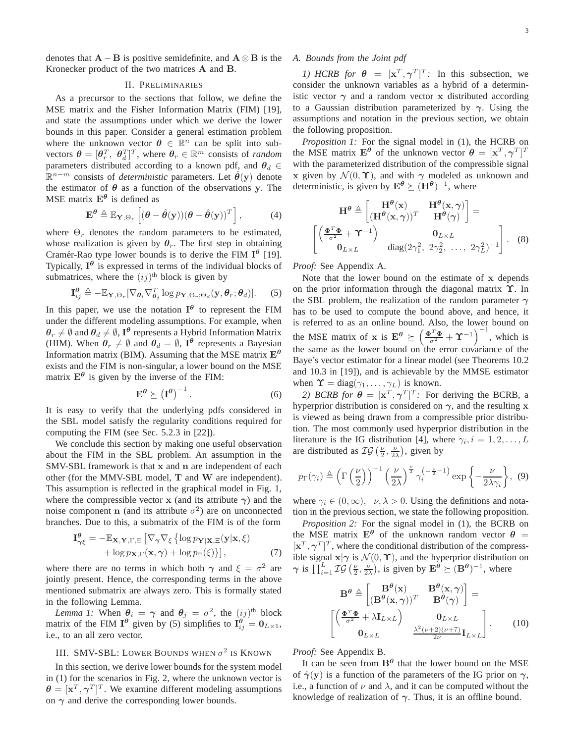denotes that  $\mathbf{A} - \mathbf{B}$  is positive semidefinite, and  $\mathbf{A} \otimes \mathbf{B}$  is the Kronecker product of the two matrices A and B.

#### II. PRELIMINARIES

As a precursor to the sections that follow, we define the MSE matrix and the Fisher Information Matrix (FIM) [19], and state the assumptions under which we derive the lower bounds in this paper. Consider a general estimation problem where the unknown vector  $\theta \in \mathbb{R}^n$  can be split into subvectors  $\boldsymbol{\theta} = [\theta_r^T, \ \theta_d^T]^T$ , where  $\theta_r \in \mathbb{R}^m$  consists of *random* parameters distributed according to a known pdf, and  $\theta_d \in$  $\mathbb{R}^{n-m}$  consists of *deterministic* parameters. Let  $\hat{\theta}(y)$  denote the estimator of  $\theta$  as a function of the observations y. The MSE matrix  $E^{\theta}$  is defined as

$$
\mathbf{E}^{\theta} \triangleq \mathbb{E}_{\mathbf{Y}, \Theta_r} \left[ (\theta - \hat{\theta}(\mathbf{y})) (\theta - \hat{\theta}(\mathbf{y}))^T \right], \tag{4}
$$

where  $\Theta_r$  denotes the random parameters to be estimated, whose realization is given by  $\theta_r$ . The first step in obtaining Cramér-Rao type lower bounds is to derive the FIM  $I^{\theta}$  [19]. Typically,  $I^{\theta}$  is expressed in terms of the individual blocks of submatrices, where the  $(ij)$ <sup>th</sup> block is given by

$$
\mathbf{I}_{ij}^{\boldsymbol{\theta}} \triangleq -\mathbb{E}_{\mathbf{Y},\Theta_r}[\nabla_{\boldsymbol{\theta}_i} \nabla_{\boldsymbol{\theta}_j}^T \log p_{\mathbf{Y},\Theta_r;\Theta_d}(\mathbf{y},\boldsymbol{\theta}_r;\boldsymbol{\theta}_d)].
$$
 (5)

In this paper, we use the notation  $I^{\theta}$  to represent the FIM under the different modeling assumptions. For example, when  $\bm{\theta}_r\neq\emptyset$  and  $\bm{\theta}_d\neq\emptyset$ ,  $\mathbf{I}^{\bm{\theta}}$  represents a Hybrid Information Matrix (HIM). When  $\theta_r \neq \emptyset$  and  $\theta_d = \emptyset$ , I<sup> $\theta$ </sup> represents a Bayesian Information matrix (BIM). Assuming that the MSE matrix  $E^{\theta}$ exists and the FIM is non-singular, a lower bound on the MSE matrix  $E^{\theta}$  is given by the inverse of the FIM:

$$
\mathbf{E}^{\theta} \succeq \left(\mathbf{I}^{\theta}\right)^{-1}.
$$
 (6)

It is easy to verify that the underlying pdfs considered in the SBL model satisfy the regularity conditions required for computing the FIM (see Sec. 5.2.3 in [22]).

We conclude this section by making one useful observation about the FIM in the SBL problem. An assumption in the SMV-SBL framework is that x and n are independent of each other (for the MMV-SBL model, T and W are independent). This assumption is reflected in the graphical model in Fig. 1, where the compressible vector x (and its attribute  $\gamma$ ) and the noise component **n** (and its attribute  $\sigma^2$ ) are on unconnected branches. Due to this, a submatrix of the FIM is of the form

$$
\mathbf{I}_{\gamma\xi}^{\theta} = -\mathbb{E}_{\mathbf{X},\mathbf{Y},\Gamma,\Xi} \left[ \nabla_{\gamma} \nabla_{\xi} \left\{ \log p_{\mathbf{Y}|\mathbf{X},\Xi}(\mathbf{y}|\mathbf{x},\xi) + \log p_{\mathbf{X},\Gamma}(\mathbf{x},\gamma) + \log p_{\Xi}(\xi) \right\} \right],\tag{7}
$$

where there are no terms in which both  $\gamma$  and  $\xi = \sigma^2$  are jointly present. Hence, the corresponding terms in the above mentioned submatrix are always zero. This is formally stated in the following Lemma.

*Lemma 1:* When  $\theta_i = \gamma$  and  $\theta_j = \sigma^2$ , the  $(ij)$ <sup>th</sup> block matrix of the FIM  $I^{\theta}$  given by (5) simplifies to  $I^{\theta}_{ij} = 0_{L \times 1}$ , i.e., to an all zero vector.

# III. SMV-SBL: LOWER BOUNDS WHEN  $\sigma^2$  is Known

In this section, we derive lower bounds for the system model in (1) for the scenarios in Fig. 2, where the unknown vector is  $\boldsymbol{\theta} = [\mathbf{x}^T, \boldsymbol{\gamma}^T]^T$ . We examine different modeling assumptions on  $\gamma$  and derive the corresponding lower bounds.

#### *A. Bounds from the Joint pdf*

*1)* HCRB for  $\theta = [\mathbf{x}^T, \gamma^T]^T$ : In this subsection, we consider the unknown variables as a hybrid of a deterministic vector  $\gamma$  and a random vector x distributed according to a Gaussian distribution parameterized by  $\gamma$ . Using the assumptions and notation in the previous section, we obtain the following proposition.

*Proposition 1:* For the signal model in (1), the HCRB on the MSE matrix  $\mathbf{E}^{\theta}$  of the unknown vector  $\theta = [\mathbf{x}^T, \boldsymbol{\gamma}^T]^T$ with the parameterized distribution of the compressible signal x given by  $\mathcal{N}(0, \Upsilon)$ , and with  $\gamma$  modeled as unknown and deterministic, is given by  $\mathbf{E}^{\theta} \succeq (\mathbf{H}^{\theta})^{-1}$ , where

$$
\mathbf{H}^{\theta} \triangleq \begin{bmatrix} \mathbf{H}^{\theta}(\mathbf{x}) & \mathbf{H}^{\theta}(\mathbf{x}, \gamma) \\ (\mathbf{H}^{\theta}(\mathbf{x}, \gamma))^T & \mathbf{H}^{\theta}(\gamma) \end{bmatrix} = \begin{bmatrix} \frac{\mathbf{\Phi}^T \mathbf{\Phi}}{\sigma^2} + \mathbf{\Upsilon}^{-1} \end{bmatrix} \quad \text{diag}(2\gamma_1^2, 2\gamma_2^2, \dots, 2\gamma_L^2)^{-1} \end{bmatrix} . \tag{8}
$$

*Proof:* See Appendix A.

Note that the lower bound on the estimate of x depends on the prior information through the diagonal matrix  $\Upsilon$ . In the SBL problem, the realization of the random parameter  $\gamma$ has to be used to compute the bound above, and hence, it is referred to as an online bound. Also, the lower bound on the MSE matrix of **x** is  $\mathbf{E}^{\theta} \succeq \left( \frac{\Phi^T \Phi}{\sigma^2} + \Upsilon^{-1} \right)^{-1}$ , which is the same as the lower bound on the error covariance of the Baye's vector estimator for a linear model (see Theorems 10.2 and 10.3 in [19]), and is achievable by the MMSE estimator when  $\Upsilon = \text{diag}(\gamma_1, \dots, \gamma_L)$  is known.

2) *BCRB for*  $\theta = [x^T, \gamma^T]^T$ : For deriving the BCRB, a hyperprior distribution is considered on  $\gamma$ , and the resulting x is viewed as being drawn from a compressible prior distribution. The most commonly used hyperprior distribution in the literature is the IG distribution [4], where  $\gamma_i$ ,  $i = 1, 2, \dots, L$ are distributed as  $IG(\frac{\nu}{2}, \frac{\nu}{2\lambda})$ , given by

$$
p_{\Gamma}(\gamma_i) \triangleq \left(\Gamma\left(\frac{\nu}{2}\right)\right)^{-1} \left(\frac{\nu}{2\lambda}\right)^{\frac{\nu}{2}} \gamma_i^{\left(-\frac{\nu}{2}-1\right)} \exp\left\{-\frac{\nu}{2\lambda\gamma_i}\right\},\tag{9}
$$

where  $\gamma_i \in (0, \infty)$ ,  $\nu, \lambda > 0$ . Using the definitions and notation in the previous section, we state the following proposition.

*Proposition 2:* For the signal model in (1), the BCRB on the MSE matrix  $E^{\theta}$  of the unknown random vector  $\theta =$  $[\mathbf{x}^T, \boldsymbol{\gamma}^T]^T$ , where the conditional distribution of the compressible signal  $\mathbf{x}|\boldsymbol{\gamma}$  is  $\mathcal{N}(0, \boldsymbol{\Upsilon})$ , and the hyperprior distribution on  $\gamma$  is  $\prod_{i=1}^{L} \mathcal{IG}(\frac{\nu}{2}, \frac{\nu}{2\lambda})$ , is given by  $\mathbf{E}^{\theta} \succeq (\mathbf{B}^{\theta})^{-1}$ , where

$$
\mathbf{B}^{\theta} \triangleq \begin{bmatrix} \mathbf{B}^{\theta}(\mathbf{x}) & \mathbf{B}^{\theta}(\mathbf{x}, \gamma) \\ (\mathbf{B}^{\theta}(\mathbf{x}, \gamma))^T & \mathbf{B}^{\theta}(\gamma) \end{bmatrix} = \begin{bmatrix} \left(\frac{\Phi^T \Phi}{\sigma^2} + \lambda \mathbf{I}_{L \times L}\right) & \mathbf{0}_{L \times L} \\ \mathbf{0}_{L \times L} & \frac{\lambda^2 (\nu + 2)(\nu + 7)}{2\nu} \mathbf{I}_{L \times L} \end{bmatrix} . \tag{10}
$$

*Proof:* See Appendix B.

It can be seen from  $B^{\theta}$  that the lower bound on the MSE of  $\hat{\gamma}(y)$  is a function of the parameters of the IG prior on  $\gamma$ , i.e., a function of  $\nu$  and  $\lambda$ , and it can be computed without the knowledge of realization of  $\gamma$ . Thus, it is an offline bound.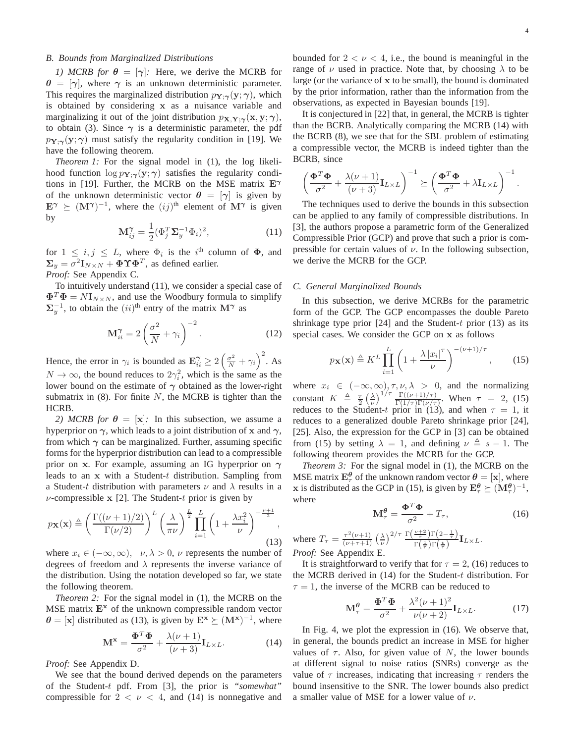*1) MCRB for*  $\theta = [\gamma]$ : Here, we derive the MCRB for  $\theta = [\gamma]$ , where  $\gamma$  is an unknown deterministic parameter. This requires the marginalized distribution  $p_{\mathbf{Y};\gamma}(\mathbf{y};\gamma)$ , which is obtained by considering x as a nuisance variable and marginalizing it out of the joint distribution  $p_{\mathbf{X},\mathbf{Y};\gamma}(\mathbf{x}, \mathbf{y}; \gamma)$ , to obtain (3). Since  $\gamma$  is a deterministic parameter, the pdf  $p_{\mathbf{Y};\gamma}(\mathbf{y};\gamma)$  must satisfy the regularity condition in [19]. We have the following theorem.

*Theorem 1:* For the signal model in (1), the log likelihood function  $\log p_{Y;\gamma}(y;\gamma)$  satisfies the regularity conditions in [19]. Further, the MCRB on the MSE matrix  $E^{\gamma}$ of the unknown deterministic vector  $\theta = [\gamma]$  is given by  $\mathbf{E}^{\gamma} \succeq (\mathbf{M}^{\gamma})^{-1}$ , where the  $(ij)^{\text{th}}$  element of  $\mathbf{M}^{\gamma}$  is given by

$$
\mathbf{M}_{ij}^{\gamma} = \frac{1}{2} (\Phi_j^T \mathbf{\Sigma}_y^{-1} \Phi_i)^2, \qquad (11)
$$

for  $1 \leq i, j \leq L$ , where  $\Phi_i$  is the i<sup>th</sup> column of  $\Phi$ , and  $\Sigma_y = \sigma^2 \mathbf{I}_{N \times N} + \mathbf{\Phi} \mathbf{\Upsilon} \mathbf{\Phi}^T$ , as defined earlier.

*Proof:* See Appendix C.

To intuitively understand (11), we consider a special case of  $\mathbf{\Phi}^T \mathbf{\Phi} = N \mathbf{I}_{N \times N}$ , and use the Woodbury formula to simplify  $\Sigma_y^{-1}$ , to obtain the  $(ii)^{\text{th}}$  entry of the matrix  $\mathbf{M}^{\gamma}$  as

$$
\mathbf{M}_{ii}^{\gamma} = 2\left(\frac{\sigma^2}{N} + \gamma_i\right)^{-2}.\tag{12}
$$

Hence, the error in  $\gamma_i$  is bounded as  $\mathbf{E}_{ii}^{\gamma} \ge 2\left(\frac{\sigma^2}{N} + \gamma_i\right)^2$ . As  $N \to \infty$ , the bound reduces to  $2\gamma_i^2$ , which is the same as the lower bound on the estimate of  $\gamma$  obtained as the lower-right submatrix in  $(8)$ . For finite N, the MCRB is tighter than the HCRB.

*2) MCRB for*  $\theta = [\mathbf{x}]$ : In this subsection, we assume a hyperprior on  $\gamma$ , which leads to a joint distribution of x and  $\gamma$ , from which  $\gamma$  can be marginalized. Further, assuming specific forms for the hyperprior distribution can lead to a compressible prior on x. For example, assuming an IG hyperprior on  $\gamma$ leads to an x with a Student-t distribution. Sampling from a Student-t distribution with parameters  $\nu$  and  $\lambda$  results in a  $\nu$ -compressible x [2]. The Student-t prior is given by

$$
p_{\mathbf{X}}(\mathbf{x}) \triangleq \left(\frac{\Gamma((\nu+1)/2)}{\Gamma(\nu/2)}\right)^L \left(\frac{\lambda}{\pi \nu}\right)^{\frac{L}{2}} \prod_{i=1}^L \left(1 + \frac{\lambda x_i^2}{\nu}\right)^{-\frac{\nu+1}{2}},\tag{13}
$$

where  $x_i \in (-\infty, \infty)$ ,  $\nu, \lambda > 0$ ,  $\nu$  represents the number of degrees of freedom and  $\lambda$  represents the inverse variance of the distribution. Using the notation developed so far, we state the following theorem.

*Theorem 2:* For the signal model in (1), the MCRB on the MSE matrix  $E^x$  of the unknown compressible random vector  $\theta = [\mathbf{x}]$  distributed as (13), is given by  $\mathbf{E}^{\mathbf{x}} \succeq (\mathbf{M}^{\mathbf{x}})^{-1}$ , where

$$
\mathbf{M}^{\mathbf{x}} = \frac{\mathbf{\Phi}^T \mathbf{\Phi}}{\sigma^2} + \frac{\lambda(\nu + 1)}{(\nu + 3)} \mathbf{I}_{L \times L}.
$$
 (14)

*Proof:* See Appendix D.

We see that the bound derived depends on the parameters of the Student-t pdf. From [3], the prior is *"somewhat"* compressible for  $2 < \nu < 4$ , and (14) is nonnegative and

4

bounded for  $2 < \nu < 4$ , i.e., the bound is meaningful in the range of  $\nu$  used in practice. Note that, by choosing  $\lambda$  to be large (or the variance of x to be small), the bound is dominated by the prior information, rather than the information from the observations, as expected in Bayesian bounds [19].

It is conjectured in [22] that, in general, the MCRB is tighter than the BCRB. Analytically comparing the MCRB (14) with the BCRB (8), we see that for the SBL problem of estimating a compressible vector, the MCRB is indeed tighter than the BCRB, since

$$
\left(\frac{\mathbf{\Phi}^T\mathbf{\Phi}}{\sigma^2} + \frac{\lambda(\nu+1)}{(\nu+3)}\mathbf{I}_{L\times L}\right)^{-1} \succeq \left(\frac{\mathbf{\Phi}^T\mathbf{\Phi}}{\sigma^2} + \lambda\mathbf{I}_{L\times L}\right)^{-1}.
$$

The techniques used to derive the bounds in this subsection can be applied to any family of compressible distributions. In [3], the authors propose a parametric form of the Generalized Compressible Prior (GCP) and prove that such a prior is compressible for certain values of  $\nu$ . In the following subsection, we derive the MCRB for the GCP.

#### *C. General Marginalized Bounds*

In this subsection, we derive MCRBs for the parametric form of the GCP. The GCP encompasses the double Pareto shrinkage type prior  $[24]$  and the Student-t prior  $(13)$  as its special cases. We consider the GCP on x as follows

$$
p_{\mathbf{X}}(\mathbf{x}) \triangleq K^L \prod_{i=1}^L \left( 1 + \frac{\lambda \left| x_i \right|^{\tau}}{\nu} \right)^{-(\nu+1)/\tau}, \qquad (15)
$$

where  $x_i \in (-\infty, \infty)$ ,  $\tau$ ,  $\nu$ ,  $\lambda > 0$ , and the normalizing constant  $K \triangleq \frac{\tau}{2} \left(\frac{\lambda}{\nu}\right)^{1/\tau} \frac{\Gamma((\nu+1)/\tau)}{\Gamma(1/\tau)\Gamma(\nu/\tau)}$ . When  $\tau = 2$ , (15) reduces to the Student-t prior in (13), and when  $\tau = 1$ , it reduces to a generalized double Pareto shrinkage prior [24], [25]. Also, the expression for the GCP in [3] can be obtained from (15) by setting  $\lambda = 1$ , and defining  $\nu \triangleq s - 1$ . The following theorem provides the MCRB for the GCP.

*Theorem 3:* For the signal model in (1), the MCRB on the MSE matrix  $\mathbf{E}_{\tau}^{\theta}$  of the unknown random vector  $\theta = [\mathbf{x}]$ , where x is distributed as the GCP in (15), is given by  $\mathbf{E}_{\tau}^{\theta} \succeq (\mathbf{M}_{\tau}^{\theta})^{-1}$ , where

$$
\mathbf{M}_{\tau}^{\theta} = \frac{\mathbf{\Phi}^T \mathbf{\Phi}}{\sigma^2} + T_{\tau},\tag{16}
$$

where  $T_{\tau} = \frac{\tau^2(\nu+1)}{(\nu+\tau+1)} \left(\frac{\lambda}{\nu}\right)^{2/\tau} \frac{\Gamma\left(\frac{\nu+2}{\tau}\right) \Gamma\left(2-\frac{1}{\tau}\right)}{\Gamma\left(\frac{1}{\tau}\right) \Gamma\left(\frac{\nu}{\tau}\right)}$  $\frac{\frac{1}{\tau} \int_{\Gamma} \left( \frac{L}{\tau} - \frac{1}{\tau} \right)}{\Gamma\left(\frac{1}{\tau}\right) \Gamma\left(\frac{v}{\tau}\right)} \mathbf{I}_{L \times L}.$ *Proof:* See Appendix E.

It is straightforward to verify that for  $\tau = 2$ , (16) reduces to the MCRB derived in (14) for the Student-t distribution. For  $\tau = 1$ , the inverse of the MCRB can be reduced to

$$
\mathbf{M}_{\tau}^{\theta} = \frac{\mathbf{\Phi}^T \mathbf{\Phi}}{\sigma^2} + \frac{\lambda^2 (\nu + 1)^2}{\nu (\nu + 2)} \mathbf{I}_{L \times L}.
$$
 (17)

In Fig. 4, we plot the expression in (16). We observe that, in general, the bounds predict an increase in MSE for higher values of  $\tau$ . Also, for given value of N, the lower bounds at different signal to noise ratios (SNRs) converge as the value of  $\tau$  increases, indicating that increasing  $\tau$  renders the bound insensitive to the SNR. The lower bounds also predict a smaller value of MSE for a lower value of  $\nu$ .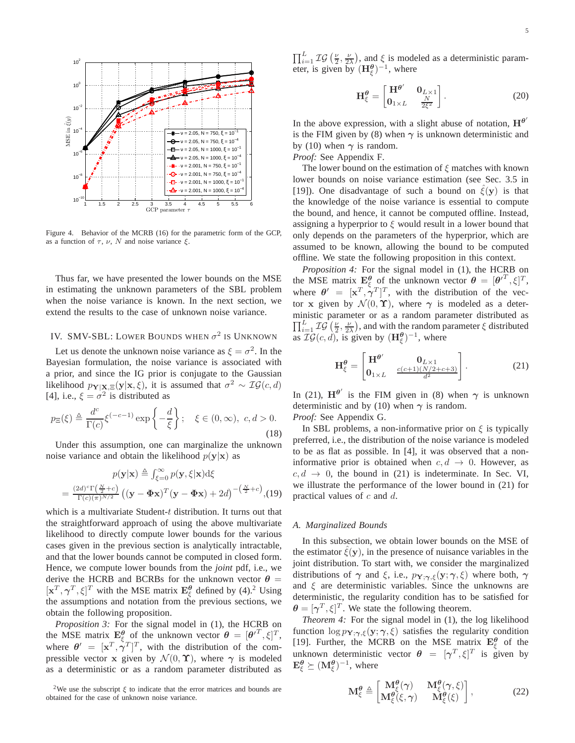

Figure 4. Behavior of the MCRB (16) for the parametric form of the GCP, as a function of  $\tau$ ,  $\nu$ ,  $N$  and noise variance  $\xi$ .

Thus far, we have presented the lower bounds on the MSE in estimating the unknown parameters of the SBL problem when the noise variance is known. In the next section, we extend the results to the case of unknown noise variance.

# IV. SMV-SBL: LOWER BOUNDS WHEN  $\sigma^2$  is Unknown

Let us denote the unknown noise variance as  $\xi = \sigma^2$ . In the Bayesian formulation, the noise variance is associated with a prior, and since the IG prior is conjugate to the Gaussian likelihood  $p_{\mathbf{Y}|\mathbf{X},\Xi}(\mathbf{y}|\mathbf{x},\xi)$ , it is assumed that  $\sigma^2 \sim \mathcal{IG}(c,d)$ [4], i.e.,  $\xi = \sigma^2$  is distributed as

$$
p_{\Xi}(\xi) \triangleq \frac{d^c}{\Gamma(c)} \xi^{(-c-1)} \exp\left\{-\frac{d}{\xi}\right\}; \quad \xi \in (0, \infty), \ c, d > 0.
$$
\n(18)

Under this assumption, one can marginalize the unknown noise variance and obtain the likelihood  $p(\mathbf{y}|\mathbf{x})$  as

$$
p(\mathbf{y}|\mathbf{x}) \triangleq \int_{\xi=0}^{\infty} p(\mathbf{y}, \xi | \mathbf{x}) d\xi
$$
  
= 
$$
\frac{(2d)^{c} \Gamma(\frac{N}{2} + c)}{\Gamma(c)(\pi)^{N/2}} ((\mathbf{y} - \mathbf{\Phi} \mathbf{x})^{T} (\mathbf{y} - \mathbf{\Phi} \mathbf{x}) + 2d)^{-(\frac{N}{2} + c)}, (19)
$$

which is a multivariate Student-t distribution. It turns out that the straightforward approach of using the above multivariate likelihood to directly compute lower bounds for the various cases given in the previous section is analytically intractable, and that the lower bounds cannot be computed in closed form. Hence, we compute lower bounds from the *joint* pdf, i.e., we derive the HCRB and BCRBs for the unknown vector  $\theta =$  $[\mathbf{x}^T, \gamma^T, \xi]^T$  with the MSE matrix  $\mathbf{E}_{\xi}^{\theta}$  defined by (4).<sup>2</sup> Using the assumptions and notation from the previous sections, we obtain the following proposition.

*Proposition 3:* For the signal model in (1), the HCRB on the MSE matrix  $\mathbf{E}_{\xi}^{\theta}$  of the unknown vector  $\theta = [\theta^{T}, \xi]^{T}$ , where  $\theta' = [\mathbf{x}^T, \dot{\gamma}^T]^T$ , with the distribution of the compressible vector x given by  $\mathcal{N}(0, \Upsilon)$ , where  $\gamma$  is modeled as a deterministic or as a random parameter distributed as

 $\prod_{i=1}^{L} \mathcal{IG} \left( \frac{\nu}{2}, \frac{\nu}{2\lambda} \right)$ , and  $\xi$  is modeled as a deterministic parameter, is given by  $(\mathbf{H}_{\xi}^{\theta})^{-1}$ , where

$$
\mathbf{H}_{\xi}^{\theta} = \begin{bmatrix} \mathbf{H}^{\theta'} & \mathbf{0}_{L \times 1} \\ \mathbf{0}_{1 \times L} & \frac{N}{2\xi^2} \end{bmatrix} .
$$
 (20)

In the above expression, with a slight abuse of notation,  $H^{\theta'}$ is the FIM given by (8) when  $\gamma$  is unknown deterministic and by (10) when  $\gamma$  is random.

*Proof:* See Appendix F.

The lower bound on the estimation of  $\xi$  matches with known lower bounds on noise variance estimation (see Sec. 3.5 in [19]). One disadvantage of such a bound on  $\hat{\xi}(v)$  is that the knowledge of the noise variance is essential to compute the bound, and hence, it cannot be computed offline. Instead, assigning a hyperprior to  $\xi$  would result in a lower bound that only depends on the parameters of the hyperprior, which are assumed to be known, allowing the bound to be computed offline. We state the following proposition in this context.

*Proposition 4:* For the signal model in (1), the HCRB on the MSE matrix  $\mathbf{E}_{\xi}^{\theta}$  of the unknown vector  $\theta = [\theta^{T}, \xi]^{T}$ , where  $\theta' = [\mathbf{x}^T, \gamma^T]^T$ , with the distribution of the vector x given by  $\mathcal{N}(0, \Upsilon)$ , where  $\gamma$  is modeled as a deterministic parameter or as a random parameter distributed as  $\prod_{i=1}^{L} \mathcal{IG} \left( \frac{\nu}{2}, \frac{\nu}{2\lambda} \right)$ , and with the random parameter  $\xi$  distributed as  $\mathcal{IG}(c, d)$ , is given by  $(\mathbf{H}_{\xi}^{\theta})^{-1}$ , where

$$
\mathbf{H}_{\xi}^{\theta} = \begin{bmatrix} \mathbf{H}^{\theta'} & \mathbf{0}_{L \times 1} \\ \mathbf{0}_{1 \times L} & \frac{c(c+1)(N/2+c+3)}{d^2} \end{bmatrix} . \tag{21}
$$

In (21),  $H^{\theta'}$  is the FIM given in (8) when  $\gamma$  is unknown deterministic and by (10) when  $\gamma$  is random. *Proof:* See Appendix G.

In SBL problems, a non-informative prior on  $\xi$  is typically

preferred, i.e., the distribution of the noise variance is modeled to be as flat as possible. In [4], it was observed that a noninformative prior is obtained when  $c, d \rightarrow 0$ . However, as  $c, d \rightarrow 0$ , the bound in (21) is indeterminate. In Sec. VI, we illustrate the performance of the lower bound in (21) for practical values of c and d.

#### *A. Marginalized Bounds*

In this subsection, we obtain lower bounds on the MSE of the estimator  $\xi(y)$ , in the presence of nuisance variables in the joint distribution. To start with, we consider the marginalized distributions of  $\gamma$  and  $\xi$ , i.e.,  $p_{\mathbf{Y}; \gamma, \xi}(\mathbf{y}; \gamma, \xi)$  where both,  $\gamma$ and  $\xi$  are deterministic variables. Since the unknowns are deterministic, the regularity condition has to be satisfied for  $\boldsymbol{\theta} = [\boldsymbol{\gamma}^T, \xi]^T$ . We state the following theorem.

*Theorem 4:* For the signal model in (1), the log likelihood function  $\log p_{Y;\gamma,\xi}(y;\gamma,\xi)$  satisfies the regularity condition [19]. Further, the MCRB on the MSE matrix  $E_{\xi}^{\theta}$  of the unknown deterministic vector  $\theta = [\gamma^T, \xi]^T$  is given by  $\mathbf{E}_{\xi}^{\boldsymbol{\theta}} \succeq (\mathbf{M}_{\xi}^{\boldsymbol{\theta}})^{-1}$ , where

$$
\mathbf{M}_{\xi}^{\theta} \triangleq \begin{bmatrix} \mathbf{M}_{\xi}^{\theta}(\gamma) & \mathbf{M}_{\xi}^{\theta}(\gamma,\xi) \\ \mathbf{M}_{\xi}^{\theta}(\xi,\gamma) & \mathbf{M}_{\xi}^{\theta}(\xi) \end{bmatrix},
$$
(22)

<sup>&</sup>lt;sup>2</sup>We use the subscript  $\xi$  to indicate that the error matrices and bounds are obtained for the case of unknown noise variance.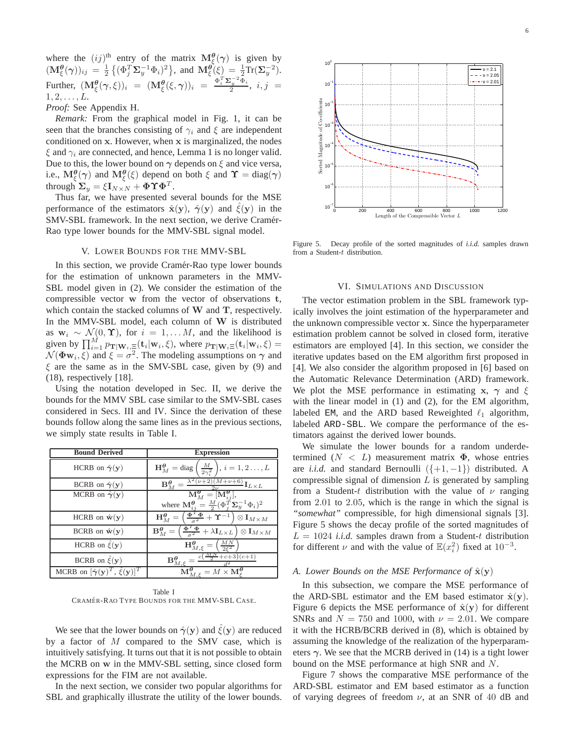where the  $(ij)$ <sup>th</sup> entry of the matrix  $\mathbf{M}^{\boldsymbol{\theta}}_{\xi}(\gamma)$  is given by  $(\mathbf{M}_{\xi}^{\boldsymbol{\theta}}(\boldsymbol{\gamma}))_{ij} = \frac{1}{2} \left\{ (\Phi_j^T \boldsymbol{\Sigma}_y^{-1} \Phi_i)^2 \right\}$ , and  $\mathbf{M}_{\xi}^{\boldsymbol{\theta}'}(\xi) = \frac{1}{2} \text{Tr}(\boldsymbol{\Sigma}_y^{-2})$ . Further,  $(\mathbf{M}^{\theta}_{\xi}(\gamma,\xi))_i = (\mathbf{M}^{\theta}_{\xi}(\xi,\gamma))_i = \frac{\Phi_i^T \mathbf{\Sigma}_y^{-2} \Phi_i}{2}, i, j$  $1, 2, \ldots, L.$ 

*Proof:* See Appendix H.

*Remark:* From the graphical model in Fig. 1, it can be seen that the branches consisting of  $\gamma_i$  and  $\xi$  are independent conditioned on x. However, when x is marginalized, the nodes  $\xi$  and  $\gamma_i$  are connected, and hence, Lemma 1 is no longer valid. Due to this, the lower bound on  $\gamma$  depends on  $\xi$  and vice versa, i.e.,  $M_{\xi}^{\theta}(\gamma)$  and  $M_{\xi}^{\theta}(\xi)$  depend on both  $\xi$  and  $\Upsilon = \text{diag}(\gamma)$ through  $\boldsymbol{\Sigma}_y = \xi \mathbf{I}_{N \times N} + \boldsymbol{\Phi} \boldsymbol{\Upsilon} \boldsymbol{\Phi}^T.$ 

Thus far, we have presented several bounds for the MSE performance of the estimators  $\hat{\mathbf{x}}(\mathbf{y})$ ,  $\hat{\gamma}(\mathbf{y})$  and  $\hat{\xi}(\mathbf{y})$  in the SMV-SBL framework. In the next section, we derive Cramér-Rao type lower bounds for the MMV-SBL signal model.

## V. LOWER BOUNDS FOR THE MMV-SBL

In this section, we provide Cramér-Rao type lower bounds for the estimation of unknown parameters in the MMV-SBL model given in (2). We consider the estimation of the compressible vector w from the vector of observations t, which contain the stacked columns of W and T, respectively. In the MMV-SBL model, each column of W is distributed as  $w_i \sim \mathcal{N}(0, \Upsilon)$ , for  $i = 1, \dots M$ , and the likelihood is given by  $\prod_{i=1}^M p_{\mathbf{T}|\mathbf{W}_i,\Xi}(\mathbf{t}_i|\mathbf{w}_i,\xi)$ , where  $p_{\mathbf{T}|\mathbf{W}_i\Xi}(\mathbf{t}_i|\mathbf{w}_i,\xi)$  =  $\mathcal{N}(\mathbf{\Phi}\mathbf{w}_i, \xi)$  and  $\xi = \sigma^2$ . The modeling assumptions on  $\gamma$  and  $\xi$  are the same as in the SMV-SBL case, given by (9) and (18), respectively [18].

Using the notation developed in Sec. II, we derive the bounds for the MMV SBL case similar to the SMV-SBL cases considered in Secs. III and IV. Since the derivation of these bounds follow along the same lines as in the previous sections, we simply state results in Table I.

| <b>Bound Derived</b>                                            | <b>Expression</b>                                                                                                                                                        |  |  |  |
|-----------------------------------------------------------------|--------------------------------------------------------------------------------------------------------------------------------------------------------------------------|--|--|--|
| HCRB on $\hat{\gamma}(y)$                                       | $\frac{M}{2\gamma^2}$ , $i = 1, 2 \ldots, L$<br>$H_M^{\theta} = \text{diag}$                                                                                             |  |  |  |
| BCRB on $\hat{\gamma}(y)$                                       | $\frac{\lambda^2(\nu+2)(M+\nu+6)}{2\nu}\mathbf{I}_{L\times L}$<br>$B^{\theta}_{\lambda A}$                                                                               |  |  |  |
| MCRB on $\hat{\gamma}(y)$                                       | $\overline{\mathbf{M}^{\boldsymbol{\theta}}_{M}} = [\mathbf{M}^{\boldsymbol{\theta}}_{ij}],$                                                                             |  |  |  |
|                                                                 | where $\mathbf{M}_{ij}^{\theta} = \frac{M}{2} (\Phi_i^{\tilde{T}} \Sigma_y^{-1} \Phi_i)^2$                                                                               |  |  |  |
| HCRB on $\hat{\mathbf{w}}(\mathbf{y})$                          | $H_M^{\theta} = \left(\frac{\Phi^T \Phi}{\sigma^2} + \Upsilon^{-1}\right)$<br>$\otimes \mathbf{I}_{M \times M}$                                                          |  |  |  |
| BCRB on $\hat{\mathbf{w}}(\mathbf{y})$                          | $\left(\frac{\mathbf{\Phi}^T\mathbf{\Phi}}{\sigma^2} + \lambda \mathbf{I}_{L\times L} \right) \otimes \mathbf{I}_{M\times M}$<br>$\mathbf{B}_{M}^{\boldsymbol{\theta}}=$ |  |  |  |
| HCRB on $\hat{\xi}(\mathbf{y})$                                 | $\frac{MN}{252}$<br>$\mathbf{H}^{\boldsymbol{\theta}}_{M,\xi}=$                                                                                                          |  |  |  |
| BCRB on $\hat{\xi}(\mathbf{y})$                                 | $\frac{MN}{2}+c+3(c+1)$<br>$\mathbf{B}_{M,\ell}^{\boldsymbol{\theta}}$                                                                                                   |  |  |  |
| MCRB on $[\hat{\gamma}(\mathbf{y})^T, \hat{\xi}(\mathbf{y})]^T$ | $\mathbf{M}^{\boldsymbol{\theta}}$ .<br>$= M \times M_c^{\theta}$                                                                                                        |  |  |  |

Table I CRAMÉR-RAO TYPE BOUNDS FOR THE MMV-SBL CASE.

We see that the lower bounds on  $\hat{\gamma}(y)$  and  $\hat{\xi}(y)$  are reduced by a factor of  $M$  compared to the SMV case, which is intuitively satisfying. It turns out that it is not possible to obtain the MCRB on w in the MMV-SBL setting, since closed form expressions for the FIM are not available.

In the next section, we consider two popular algorithms for SBL and graphically illustrate the utility of the lower bounds.



Figure 5. Decay profile of the sorted magnitudes of *i.i.d.* samples drawn from a Student-t distribution.

#### VI. SIMULATIONS AND DISCUSSION

The vector estimation problem in the SBL framework typically involves the joint estimation of the hyperparameter and the unknown compressible vector x. Since the hyperparameter estimation problem cannot be solved in closed form, iterative estimators are employed [4]. In this section, we consider the iterative updates based on the EM algorithm first proposed in [4]. We also consider the algorithm proposed in [6] based on the Automatic Relevance Determination (ARD) framework. We plot the MSE performance in estimating x,  $\gamma$  and  $\xi$ with the linear model in (1) and (2), for the EM algorithm, labeled EM, and the ARD based Reweighted  $\ell_1$  algorithm, labeled ARD-SBL. We compare the performance of the estimators against the derived lower bounds.

We simulate the lower bounds for a random underdetermined  $(N < L)$  measurement matrix  $\Phi$ , whose entries are *i.i.d.* and standard Bernoulli  $({+1, -1})$  distributed. A compressible signal of dimension  $L$  is generated by sampling from a Student-t distribution with the value of  $\nu$  ranging from 2.01 to 2.05, which is the range in which the signal is *"somewhat"* compressible, for high dimensional signals [3]. Figure 5 shows the decay profile of the sorted magnitudes of  $L = 1024$  *i.i.d.* samples drawn from a Student-t distribution for different  $\nu$  and with the value of  $\mathbb{E}(x_i^2)$  fixed at  $10^{-3}$ .

#### *A. Lower Bounds on the MSE Performance of*  $\hat{\mathbf{x}}(\mathbf{y})$

In this subsection, we compare the MSE performance of the ARD-SBL estimator and the EM based estimator  $\hat{\mathbf{x}}(\mathbf{y})$ . Figure 6 depicts the MSE performance of  $\hat{\mathbf{x}}(\mathbf{y})$  for different SNRs and  $N = 750$  and 1000, with  $\nu = 2.01$ . We compare it with the HCRB/BCRB derived in (8), which is obtained by assuming the knowledge of the realization of the hyperparameters  $\gamma$ . We see that the MCRB derived in (14) is a tight lower bound on the MSE performance at high SNR and N.

Figure 7 shows the comparative MSE performance of the ARD-SBL estimator and EM based estimator as a function of varying degrees of freedom  $\nu$ , at an SNR of 40 dB and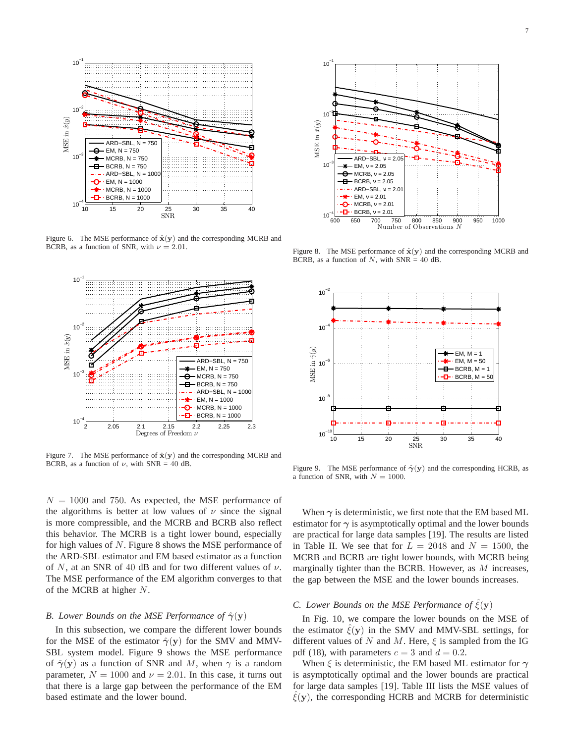

Figure 6. The MSE performance of  $\hat{\mathbf{x}}(\mathbf{y})$  and the corresponding MCRB and BCRB, as a function of SNR, with  $\nu = 2.01$ .



Figure 7. The MSE performance of  $\hat{\mathbf{x}}(\mathbf{y})$  and the corresponding MCRB and BCRB, as a function of  $\nu$ , with SNR = 40 dB.

 $N = 1000$  and 750. As expected, the MSE performance of the algorithms is better at low values of  $\nu$  since the signal is more compressible, and the MCRB and BCRB also reflect this behavior. The MCRB is a tight lower bound, especially for high values of N. Figure 8 shows the MSE performance of the ARD-SBL estimator and EM based estimator as a function of N, at an SNR of 40 dB and for two different values of  $\nu$ . The MSE performance of the EM algorithm converges to that of the MCRB at higher N.

#### *B. Lower Bounds on the MSE Performance of*  $\hat{\gamma}(y)$

In this subsection, we compare the different lower bounds for the MSE of the estimator  $\hat{\gamma}(y)$  for the SMV and MMV-SBL system model. Figure 9 shows the MSE performance of  $\hat{\gamma}(y)$  as a function of SNR and M, when  $\gamma$  is a random parameter,  $N = 1000$  and  $\nu = 2.01$ . In this case, it turns out that there is a large gap between the performance of the EM based estimate and the lower bound.



Figure 8. The MSE performance of  $\hat{\mathbf{x}}(\mathbf{y})$  and the corresponding MCRB and BCRB, as a function of  $N$ , with SNR = 40 dB.



Figure 9. The MSE performance of  $\hat{\gamma}(y)$  and the corresponding HCRB, as a function of SNR, with  $N = 1000$ .

When  $\gamma$  is deterministic, we first note that the EM based ML estimator for  $\gamma$  is asymptotically optimal and the lower bounds are practical for large data samples [19]. The results are listed in Table II. We see that for  $L = 2048$  and  $N = 1500$ , the MCRB and BCRB are tight lower bounds, with MCRB being marginally tighter than the BCRB. However, as  $M$  increases, the gap between the MSE and the lower bounds increases.

# *C. Lower Bounds on the MSE Performance of*  $\hat{\xi}(\mathbf{y})$

In Fig. 10, we compare the lower bounds on the MSE of the estimator  $\xi(y)$  in the SMV and MMV-SBL settings, for different values of N and M. Here,  $\xi$  is sampled from the IG pdf (18), with parameters  $c = 3$  and  $d = 0.2$ .

When  $\xi$  is deterministic, the EM based ML estimator for  $\gamma$ is asymptotically optimal and the lower bounds are practical for large data samples [19]. Table III lists the MSE values of  $\hat{\xi}(y)$ , the corresponding HCRB and MCRB for deterministic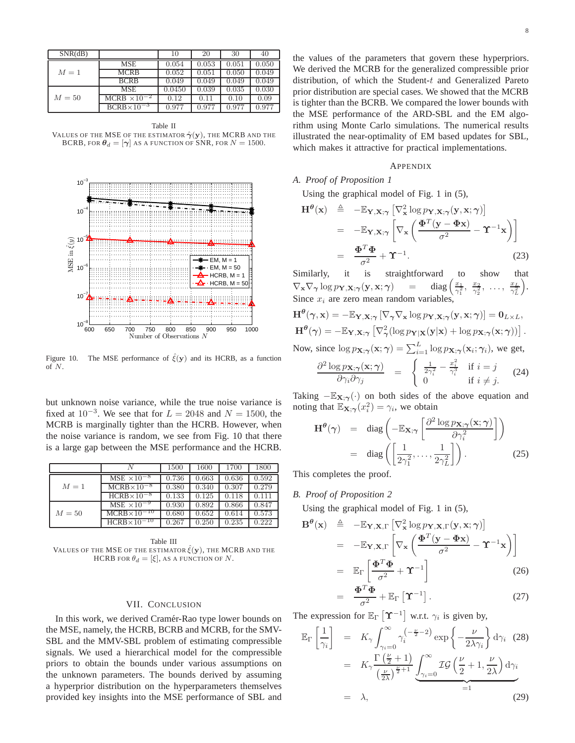| SNR(dB) |                       | 10     | 20    | 30    | 40        |
|---------|-----------------------|--------|-------|-------|-----------|
| $M=1$   | <b>MSE</b>            | 0.054  | 0.053 | 0.051 | 0.050     |
|         | MCRB                  | 0.052  | 0.051 | 0.050 | 0.049     |
|         | <b>BCRB</b>           | 0.049  | 0.049 | 0.049 | 0.049     |
| $M=50$  | <b>MSE</b>            | 0.0450 | 0.039 | 0.035 | $0.030\,$ |
|         | MCRB $\times 10^{-2}$ | 0.12   | 0.11  | 0.10  | 0.09      |
|         | $BCRB \times 10^{-3}$ | 0.977  | 0.977 | 0.977 | 0.977     |

Table II VALUES OF THE MSE OF THE ESTIMATOR  $\hat{\boldsymbol{\gamma}}(\mathbf{y})$ , the MCRB and the BCRB, FOR  $\theta_d = [\gamma]$  as a function of SNR, for  $N = 1500$ .



Figure 10. The MSE performance of  $\hat{\xi}(\mathbf{y})$  and its HCRB, as a function of N.

but unknown noise variance, while the true noise variance is fixed at  $10^{-3}$ . We see that for  $L = 2048$  and  $N = 1500$ , the MCRB is marginally tighter than the HCRB. However, when the noise variance is random, we see from Fig. 10 that there is a large gap between the MSE performance and the HCRB.

|        |                        | 1500  | 1600  | 1700  | 1800  |
|--------|------------------------|-------|-------|-------|-------|
| $M=1$  | $MSE \times 10^{-8}$   | 0.736 | 0.663 | 0.636 | 0.592 |
|        | $MCRB \times 10^{-8}$  | 0.380 | 0.340 | 0.307 | 0.279 |
|        | $HCRB \times 10^{-8}$  | 0.133 | 0.125 | 0.118 | 0.111 |
| $M=50$ | $MSE \times 10^{-9}$   | 0.930 | 0.892 | 0.866 | 0.847 |
|        | $MCRB \times 10^{-10}$ | 0.680 | 0.652 | 0.614 | 0.573 |
|        | $HCRB \times 10^{-10}$ | 0.267 | 0.250 | 0.235 | 0.222 |

Table III VALUES OF THE MSE OF THE ESTIMATOR  $\hat{\xi}(\mathbf{y})$ , the MCRB and the HCRB FOR  $\theta_d = [\xi]$ , AS A FUNCTION OF N.

#### VII. CONCLUSION

In this work, we derived Cramér-Rao type lower bounds on the MSE, namely, the HCRB, BCRB and MCRB, for the SMV-SBL and the MMV-SBL problem of estimating compressible signals. We used a hierarchical model for the compressible priors to obtain the bounds under various assumptions on the unknown parameters. The bounds derived by assuming a hyperprior distribution on the hyperparameters themselves provided key insights into the MSE performance of SBL and the values of the parameters that govern these hyperpriors. We derived the MCRB for the generalized compressible prior distribution, of which the Student-t and Generalized Pareto prior distribution are special cases. We showed that the MCRB is tighter than the BCRB. We compared the lower bounds with the MSE performance of the ARD-SBL and the EM algorithm using Monte Carlo simulations. The numerical results illustrated the near-optimality of EM based updates for SBL, which makes it attractive for practical implementations.

## **APPENDIX**

## *A. Proof of Proposition 1*

Using the graphical model of Fig. 1 in (5),

$$
\mathbf{H}^{\theta}(\mathbf{x}) \triangleq -\mathbb{E}_{\mathbf{Y}, \mathbf{X}; \gamma} \left[ \nabla_{\mathbf{x}}^2 \log p_{\mathbf{Y}, \mathbf{X}; \gamma}(\mathbf{y}, \mathbf{x}; \gamma) \right]
$$
  
\n
$$
= -\mathbb{E}_{\mathbf{Y}, \mathbf{X}; \gamma} \left[ \nabla_{\mathbf{x}} \left( \frac{\mathbf{\Phi}^T(\mathbf{y} - \mathbf{\Phi} \mathbf{x})}{\sigma^2} - \mathbf{\Upsilon}^{-1} \mathbf{x} \right) \right]
$$
  
\n
$$
= \frac{\mathbf{\Phi}^T \mathbf{\Phi}}{\sigma^2} + \mathbf{\Upsilon}^{-1}.
$$
 (23)

Similarly, it is straightforward to show that  $\nabla_{\mathbf{x}} \nabla_{\gamma} \log p_{\mathbf{Y}, \mathbf{X}; \gamma}(\mathbf{y}, \mathbf{x}; \gamma) = \text{diag}$  $\frac{x_1}{\gamma_1^2},$  $\overline{x_2}$ γ 2 2 , . . . ,  $\frac{x_L}{\gamma_L^2}$  . Since  $x_i$  are zero mean random variables

$$
\mathbf{H}^{\theta}(\gamma, \mathbf{x}) = -\mathbb{E}_{\mathbf{Y}, \mathbf{X}; \gamma} \left[ \nabla_{\gamma} \nabla_{\mathbf{x}} \log p_{\mathbf{Y}, \mathbf{X}; \gamma}(\mathbf{y}, \mathbf{x}; \gamma) \right] = \mathbf{0}_{L \times L},
$$
  

$$
\mathbf{H}^{\theta}(\gamma) = -\mathbb{E}_{\mathbf{Y}, \mathbf{X}; \gamma} \left[ \nabla_{\gamma}^{2} (\log p_{\mathbf{Y}|\mathbf{X}}(\mathbf{y}|\mathbf{x}) + \log p_{\mathbf{X}; \gamma}(\mathbf{x}; \gamma)) \right].
$$

Now, since  $\log p_{\mathbf{X}; \boldsymbol{\gamma}}(\mathbf{x}; \boldsymbol{\gamma}) = \sum_{i=1}^{L} \log p_{\mathbf{X}; \boldsymbol{\gamma}}(\mathbf{x}_i; \boldsymbol{\gamma}_i)$ , we get,

$$
\frac{\partial^2 \log p_{\mathbf{X};\gamma}(\mathbf{x};\gamma)}{\partial \gamma_i \partial \gamma_j} = \begin{cases} \frac{1}{2\gamma_i^2} - \frac{x_i^2}{\gamma_i^3} & \text{if } i = j \\ 0 & \text{if } i \neq j. \end{cases} (24)
$$

Taking  $-\mathbb{E}_{\mathbf{X};\gamma}(\cdot)$  on both sides of the above equation and noting that  $\mathbb{E}_{\mathbf{X}; \gamma}(x_i^2) = \gamma_i$ , we obtain

$$
\mathbf{H}^{\theta}(\gamma) = \text{diag}\left(-\mathbb{E}_{\mathbf{X};\gamma}\left[\frac{\partial^2 \log p_{\mathbf{X};\gamma}(\mathbf{x};\gamma)}{\partial \gamma_i^2}\right]\right)
$$

$$
= \text{diag}\left(\left[\frac{1}{2\gamma_1^2}, \dots, \frac{1}{2\gamma_L^2}\right]\right). \tag{25}
$$

This completes the proof.

# *B. Proof of Proposition 2*

Using the graphical model of Fig. 1 in (5),

$$
\mathbf{B}^{\theta}(\mathbf{x}) \triangleq -\mathbb{E}_{\mathbf{Y},\mathbf{X},\Gamma} \left[ \nabla_{\mathbf{x}}^2 \log p_{\mathbf{Y},\mathbf{X},\Gamma}(\mathbf{y},\mathbf{x};\gamma) \right]
$$
  
\n
$$
= -\mathbb{E}_{\mathbf{Y},\mathbf{X},\Gamma} \left[ \nabla_{\mathbf{x}} \left( \frac{\Phi^T(\mathbf{y} - \Phi \mathbf{x})}{\sigma^2} - \mathbf{\Upsilon}^{-1} \mathbf{x} \right) \right]
$$
  
\n
$$
= \mathbb{E}_{\Gamma} \left[ \frac{\Phi^T \Phi}{\sigma^2} + \mathbf{\Upsilon}^{-1} \right] \qquad (26)
$$
  
\n
$$
\Phi^T \Phi + \mathbb{E}_{\Gamma} \left[ \mathbf{\Upsilon}^{-1} \right] \qquad (27)
$$

$$
= \frac{\mathbf{\Phi}^{\mathbf{1}} \mathbf{\Phi}}{\sigma^2} + \mathbb{E}_{\Gamma} \left[ \mathbf{\hat{T}}^{-1} \right]. \tag{27}
$$

The expression for  $\mathbb{E}_{\Gamma}[\Upsilon^{-1}]$  w.r.t.  $\gamma_i$  is given by,

$$
\mathbb{E}_{\Gamma}\left[\frac{1}{\gamma_{i}}\right] = K_{\gamma} \int_{\gamma_{i}=0}^{\infty} \gamma_{i}^{(-\frac{\nu}{2}-2)} \exp\left\{-\frac{\nu}{2\lambda\gamma_{i}}\right\} d\gamma_{i} \quad (28)
$$

$$
= K_{\gamma} \frac{\Gamma\left(\frac{\nu}{2}+1\right)}{\left(\frac{\nu}{2\lambda}\right)^{\frac{\nu}{2}+1}} \underbrace{\int_{\gamma_{i}=0}^{\infty} \mathcal{IG}\left(\frac{\nu}{2}+1, \frac{\nu}{2\lambda}\right) d\gamma_{i}}_{=1}
$$

$$
= \lambda, \quad (29)
$$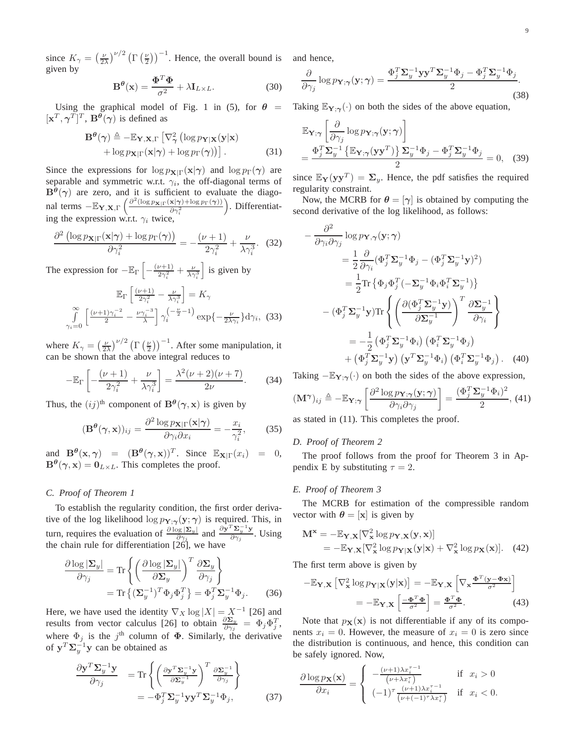since  $K_{\gamma} = \left(\frac{\nu}{2\lambda}\right)^{\nu/2} \left(\Gamma\left(\frac{\nu}{2}\right)\right)^{-1}$ . Hence, the overall bound is and hence, given by

$$
\mathbf{B}^{\theta}(\mathbf{x}) = \frac{\mathbf{\Phi}^T \mathbf{\Phi}}{\sigma^2} + \lambda \mathbf{I}_{L \times L}.
$$
 (30)

Using the graphical model of Fig. 1 in (5), for  $\theta =$  Taking  $\mathbb{E}_{Y,\gamma}(\cdot)$  on both the sides of the above equation,  $[\mathbf{x}^T, \boldsymbol{\gamma}^T]^T$ ,  $\mathbf{B}^{\theta}(\boldsymbol{\gamma})$  is defined as

$$
\mathbf{B}^{\theta}(\gamma) \triangleq -\mathbb{E}_{\mathbf{Y},\mathbf{X},\Gamma} \left[ \nabla_{\gamma}^{2} \left( \log p_{\mathbf{Y}|\mathbf{X}}(\mathbf{y}|\mathbf{x}) + \log p_{\mathbf{X}|\Gamma}(\mathbf{x}|\gamma) + \log p_{\Gamma}(\gamma) \right) \right].
$$
\n(31)

Since the expressions for  $\log p_{\mathbf{X}|\Gamma}(\mathbf{x}|\gamma)$  and  $\log p_{\Gamma}(\gamma)$  are separable and symmetric w.r.t.  $\gamma_i$ , the off-diagonal terms of  $B^{\theta}(\gamma)$  are zero, and it is sufficient to evaluate the diagonal terms  $-\mathbb{E}_{\mathbf{Y},\mathbf{X},\Gamma} \left( \frac{\partial^2 (\log p_{\mathbf{X}|\Gamma}(\mathbf{x}|\boldsymbol{\gamma}) + \log p_{\Gamma}(\boldsymbol{\gamma}))}{\partial \gamma^2} \right)$  $\partial \gamma_i^2$  . Differentiating the expression w.r.t.  $\gamma_i$  twice,

$$
\frac{\partial^2 \left( \log p_{\mathbf{X}|\Gamma}(\mathbf{x}|\boldsymbol{\gamma}) + \log p_{\Gamma}(\boldsymbol{\gamma}) \right)}{\partial \gamma_i^2} = -\frac{(\nu+1)}{2\gamma_i^2} + \frac{\nu}{\lambda \gamma_i^3}.
$$
 (32)

The expression for  $-\mathbb{E}_{\Gamma}\left[-\frac{(\nu+1)}{2\gamma^2}\right]$  $\frac{\nu+1)}{2\gamma_i^2}+\frac{\nu}{\lambda\gamma_i^3}$ i is given by

$$
\mathbb{E}_{\Gamma} \left[ \frac{(\nu+1)}{2\gamma_i^2} - \frac{\nu}{\lambda \gamma_i^3} \right] = K_{\gamma}
$$

$$
\int_{\gamma_i=0}^{\infty} \left[ \frac{(\nu+1)\gamma_i^{-2}}{2} - \frac{\nu \gamma_i^{-3}}{\lambda} \right] \gamma_i \left( -\frac{\nu}{2} - 1 \right) \exp\left\{-\frac{\nu}{2\lambda \gamma_i} \right\} d\gamma_i, (33)
$$

where  $K_{\gamma} = \left(\frac{\nu}{2\lambda}\right)^{\nu/2} \left(\Gamma\left(\frac{\nu}{2}\right)\right)^{-1}$ . After some manipulation, it can be shown that the above integral reduces to

$$
-\mathbb{E}_{\Gamma}\left[-\frac{(\nu+1)}{2\gamma_i^2} + \frac{\nu}{\lambda\gamma_i^3}\right] = \frac{\lambda^2(\nu+2)(\nu+7)}{2\nu}.\tag{34}
$$

Thus, the  $(ij)$ <sup>th</sup> component of  $\mathbf{B}^{\theta}(\gamma, \mathbf{x})$  is given by

$$
(\mathbf{B}^{\theta}(\gamma, \mathbf{x}))_{ij} = \frac{\partial^2 \log p_{\mathbf{X}|\Gamma}(\mathbf{x}|\gamma)}{\partial \gamma_i \partial x_i} = -\frac{x_i}{\gamma_i^2},\qquad(35)
$$

and  $\mathbf{B}^{\theta}(\mathbf{x}, \gamma) = (\mathbf{B}^{\theta}(\gamma, \mathbf{x}))^{T}$ . Since  $\mathbb{E}_{\mathbf{X} | \Gamma}(x_i) = 0$ ,  $B^{\theta}(\gamma, x) = 0_{L \times L}$ . This completes the proof.

## *C. Proof of Theorem 1*

To establish the regularity condition, the first order derivative of the log likelihood log  $p_{Y,\gamma}(y;\gamma)$  is required. This, in turn, requires the evaluation of  $\frac{\partial \log |\Sigma_y|}{\partial \gamma_j}$  and  $\frac{\partial \mathbf{y}^T \mathbf{\Sigma}_y^{-1} \mathbf{y}}{\partial \gamma_j}$  $rac{\Delta_y}{\partial \gamma_j}$ . Using the chain rule for differentiation [26], we have

$$
\frac{\partial \log |\mathbf{\Sigma}_y|}{\partial \gamma_j} = \text{Tr}\left\{ \left( \frac{\partial \log |\mathbf{\Sigma}_y|}{\partial \mathbf{\Sigma}_y} \right)^T \frac{\partial \mathbf{\Sigma}_y}{\partial \gamma_j} \right\}
$$
\n
$$
= \text{Tr}\left\{ (\mathbf{\Sigma}_y^{-1})^T \Phi_j \Phi_j^T \right\} = \Phi_j^T \mathbf{\Sigma}_y^{-1} \Phi_j. \tag{36}
$$

Here, we have used the identity  $\nabla_X \log |X| = X^{-1}$  [26] and results from vector calculus [26] to obtain  $\frac{\partial \Sigma_y}{\partial \gamma_j} = \Phi_j \Phi_j^T$ , where  $\Phi_j$  is the j<sup>th</sup> column of  $\Phi$ . Similarly, the derivative of  $y^T \Sigma_y^{-1} y$  can be obtained as

$$
\frac{\partial \mathbf{y}^T \mathbf{\Sigma}_y^{-1} \mathbf{y}}{\partial \gamma_j} = \text{Tr} \left\{ \left( \frac{\partial \mathbf{y}^T \mathbf{\Sigma}_y^{-1} \mathbf{y}}{\partial \mathbf{\Sigma}_y^{-1}} \right)^T \frac{\partial \mathbf{\Sigma}_y^{-1}}{\partial \gamma_j} \right\}
$$

$$
= -\Phi_j^T \mathbf{\Sigma}_y^{-1} \mathbf{y} \mathbf{y}^T \mathbf{\Sigma}_y^{-1} \Phi_j, \tag{37}
$$

$$
\frac{\partial}{\partial \gamma_j} \log p_{\mathbf{Y};\gamma}(\mathbf{y};\gamma) = \frac{\Phi_j^T \Sigma_y^{-1} \mathbf{y} \mathbf{y}^T \Sigma_y^{-1} \Phi_j - \Phi_j^T \Sigma_y^{-1} \Phi_j}{2}.
$$
\n(38)

$$
\mathbb{E}_{\mathbf{Y};\gamma} \left[ \frac{\partial}{\partial \gamma_j} \log p_{\mathbf{Y};\gamma}(\mathbf{y};\gamma) \right] \n= \frac{\Phi_j^T \Sigma_y^{-1} \left\{ \mathbb{E}_{\mathbf{Y};\gamma}(\mathbf{y}\mathbf{y}^T) \right\} \Sigma_y^{-1} \Phi_j - \Phi_j^T \Sigma_y^{-1} \Phi_j}{2} = 0, \quad (39)
$$

since  $\mathbb{E}_{\mathbf{Y}}(\mathbf{y}\mathbf{y}^T) = \mathbf{\Sigma}_y$ . Hence, the pdf satisfies the required regularity constraint.

Now, the MCRB for  $\theta = [\gamma]$  is obtained by computing the second derivative of the log likelihood, as follows:

$$
-\frac{\partial^2}{\partial \gamma_i \partial \gamma_j} \log p_{\mathbf{Y},\gamma}(\mathbf{y};\gamma)
$$
  
\n
$$
=\frac{1}{2} \frac{\partial}{\partial \gamma_i} (\Phi_j^T \Sigma_y^{-1} \Phi_j - (\Phi_j^T \Sigma_y^{-1} \mathbf{y})^2)
$$
  
\n
$$
=\frac{1}{2} \text{Tr} \left\{ \Phi_j \Phi_j^T (-\Sigma_y^{-1} \Phi_i \Phi_i^T \Sigma_y^{-1}) \right\}
$$
  
\n
$$
-(\Phi_j^T \Sigma_y^{-1} \mathbf{y}) \text{Tr} \left\{ \left( \frac{\partial (\Phi_j^T \Sigma_y^{-1} \mathbf{y})}{\partial \Sigma_y^{-1}} \right)^T \frac{\partial \Sigma_y^{-1}}{\partial \gamma_i} \right\}
$$
  
\n
$$
=-\frac{1}{2} (\Phi_j^T \Sigma_y^{-1} \Phi_i) (\Phi_i^T \Sigma_y^{-1} \Phi_j)
$$
  
\n
$$
+(\Phi_j^T \Sigma_y^{-1} \mathbf{y}) (\mathbf{y}^T \Sigma_y^{-1} \Phi_i) (\Phi_i^T \Sigma_y^{-1} \Phi_j).
$$
 (40)

Taking  $-\mathbb{E}_{\mathbf{Y};\gamma}(\cdot)$  on both the sides of the above expression,

$$
(\mathbf{M}^{\boldsymbol{\gamma}})_{ij} \triangleq -\mathbb{E}_{\mathbf{Y};\boldsymbol{\gamma}} \left[ \frac{\partial^2 \log p_{\mathbf{Y};\boldsymbol{\gamma}}(\mathbf{y};\boldsymbol{\gamma})}{\partial \gamma_i \partial \gamma_j} \right] = \frac{(\Phi_j^T \mathbf{\Sigma}_y^{-1} \Phi_i)^2}{2},
$$
(41)

as stated in (11). This completes the proof.

#### *D. Proof of Theorem 2*

The proof follows from the proof for Theorem 3 in Appendix E by substituting  $\tau = 2$ .

#### *E. Proof of Theorem 3*

The MCRB for estimation of the compressible random vector with  $\theta = [\mathbf{x}]$  is given by

$$
\mathbf{M}^{\mathbf{x}} = -\mathbb{E}_{\mathbf{Y}, \mathbf{X}} [\nabla_{\mathbf{x}}^{2} \log p_{\mathbf{Y}, \mathbf{X}}(\mathbf{y}, \mathbf{x})] \n= -\mathbb{E}_{\mathbf{Y}, \mathbf{X}} [\nabla_{\mathbf{x}}^{2} \log p_{\mathbf{Y}|\mathbf{X}}(\mathbf{y}|\mathbf{x}) + \nabla_{\mathbf{x}}^{2} \log p_{\mathbf{X}}(\mathbf{x})].
$$
\n(42)

The first term above is given by

$$
-\mathbb{E}_{\mathbf{Y},\mathbf{X}} \left[ \nabla_{\mathbf{x}}^2 \log p_{\mathbf{Y}|\mathbf{X}}(\mathbf{y}|\mathbf{x}) \right] = -\mathbb{E}_{\mathbf{Y},\mathbf{X}} \left[ \nabla_{\mathbf{x}} \frac{\Phi^T(\mathbf{y} - \Phi \mathbf{x})}{\sigma^2} \right]
$$

$$
= -\mathbb{E}_{\mathbf{Y},\mathbf{X}} \left[ \frac{-\Phi^T \Phi}{\sigma^2} \right] = \frac{\Phi^T \Phi}{\sigma^2}.
$$
(43)

Note that  $p_X(x)$  is not differentiable if any of its components  $x_i = 0$ . However, the measure of  $x_i = 0$  is zero since the distribution is continuous, and hence, this condition can be safely ignored. Now,

$$
\frac{\partial \log p_{\mathbf{X}}(\mathbf{x})}{\partial x_i} = \begin{cases} -\frac{(\nu+1)\lambda x_i^{\tau-1}}{(\nu+\lambda x_i^{\tau})} & \text{if } x_i > 0\\ (-1)^{\tau} \frac{(\nu+1)\lambda x_i^{\tau-1}}{(\nu+(-1)^{\tau}\lambda x_i^{\tau})} & \text{if } x_i < 0. \end{cases}
$$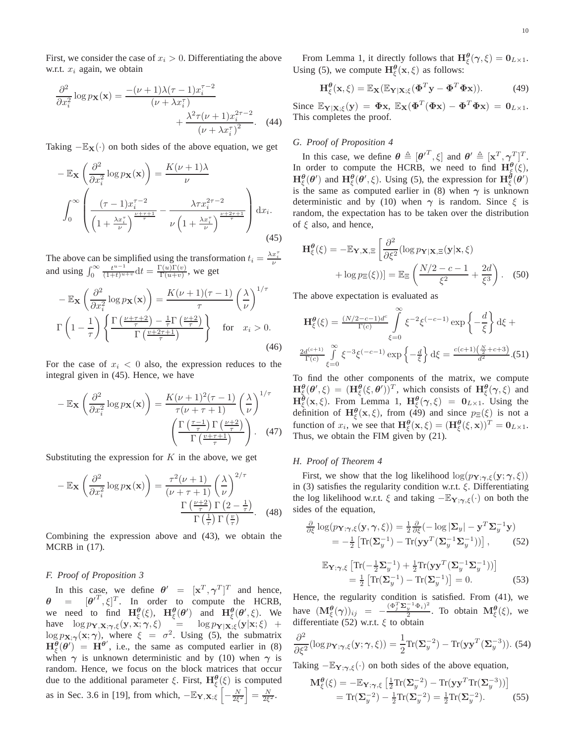First, we consider the case of  $x_i > 0$ . Differentiating the above w.r.t.  $x_i$  again, we obtain

$$
\frac{\partial^2}{\partial x_i^2} \log p_{\mathbf{X}}(\mathbf{x}) = \frac{-(\nu+1)\lambda(\tau-1)x_i^{\tau-2}}{(\nu+\lambda x_i^{\tau})} + \frac{\lambda^2 \tau(\nu+1)x_i^{2\tau-2}}{(\nu+\lambda x_i^{\tau})^2}.
$$
(44)

Taking  $-\mathbb{E}_{\mathbf{X}}(\cdot)$  on both sides of the above equation, we get

$$
-\mathbb{E}_{\mathbf{X}}\left(\frac{\partial^2}{\partial x_i^2}\log p_{\mathbf{X}}(\mathbf{x})\right) = \frac{K(\nu+1)\lambda}{\nu}
$$

$$
\int_0^\infty \left(\frac{(\tau-1)x_i^{\tau-2}}{\left(1+\frac{\lambda x_i^{\tau}}{\nu}\right)^{\frac{\nu+\tau+1}{\tau}}} - \frac{\lambda \tau x_i^{2\tau-2}}{\nu \left(1+\frac{\lambda x_i^{\tau}}{\nu}\right)^{\frac{\nu+2\tau+1}{\tau}}}\right) dx_i.
$$
(45)

The above can be simplified using the transformation  $t_i = \frac{\lambda x_i^{\tau}}{\nu}$  and using  $\int_0^{\infty} \frac{t^{u-1}}{(1+t)^{u+v}} dt = \frac{\Gamma(u)\Gamma(v)}{\Gamma(u+v)}$ , we get  $\frac{\Gamma(u)\Gamma(v)}{\Gamma(u+v)},$  we get

$$
-\mathbb{E}_{\mathbf{X}}\left(\frac{\partial^2}{\partial x_i^2}\log p_{\mathbf{X}}(\mathbf{x})\right) = \frac{K(\nu+1)(\tau-1)}{\tau}\left(\frac{\lambda}{\nu}\right)^{1/\tau}
$$

$$
\Gamma\left(1-\frac{1}{\tau}\right)\left\{\frac{\Gamma\left(\frac{\nu+\tau+2}{\tau}\right)-\frac{1}{\tau}\Gamma\left(\frac{\nu+2}{\tau}\right)}{\Gamma\left(\frac{\nu+2\tau+1}{\tau}\right)}\right\} \quad \text{for} \quad x_i > 0.
$$
(46)

For the case of  $x_i < 0$  also, the expression reduces to the integral given in (45). Hence, we have

$$
-\mathbb{E}_{\mathbf{X}}\left(\frac{\partial^2}{\partial x_i^2}\log p_{\mathbf{X}}(\mathbf{x})\right) = \frac{K(\nu+1)^2(\tau-1)}{\tau(\nu+\tau+1)}\left(\frac{\lambda}{\nu}\right)^{1/\tau} \left(\frac{\Gamma\left(\frac{\tau-1}{\tau}\right)\Gamma\left(\frac{\nu+2}{\tau}\right)}{\Gamma\left(\frac{\nu+\tau+1}{\tau}\right)}\right).
$$
(47)

Substituting the expression for  $K$  in the above, we get

$$
-\mathbb{E}_{\mathbf{X}}\left(\frac{\partial^2}{\partial x_i^2}\log p_{\mathbf{X}}(\mathbf{x})\right) = \frac{\tau^2(\nu+1)}{(\nu+\tau+1)}\left(\frac{\lambda}{\nu}\right)^{2/\tau}
$$

$$
\frac{\Gamma\left(\frac{\nu+2}{\tau}\right)\Gamma\left(2-\frac{1}{\tau}\right)}{\Gamma\left(\frac{1}{\tau}\right)\Gamma\left(\frac{\nu}{\tau}\right)}.\tag{48}
$$

Combining the expression above and (43), we obtain the MCRB in (17).

#### *F. Proof of Proposition 3*

In this case, we define  $\theta' = [\mathbf{x}^T, \gamma^T]^T$  and hence,  $\theta = [\theta^T, \xi]^T$ . In order to compute the HCRB, we need to find  $\mathbf{H}_{\xi}^{\theta}(\xi)$ ,  $\mathbf{H}_{\xi}^{\theta}(\theta')$  and  $\mathbf{H}_{\xi}^{\theta}(\theta',\xi)$ . We have  $\log p_{\mathbf{Y},\mathbf{X};\boldsymbol{\gamma},\xi}(\mathbf{y},\mathbf{x};\boldsymbol{\gamma},\xi) = \log p_{\mathbf{Y}|\mathbf{X};\xi}(\mathbf{y}|\mathbf{x};\xi) +$  $\log p_{\mathbf{X}; \gamma}(\mathbf{x}; \gamma)$ , where  $\xi = \sigma^2$ . Using (5), the submatrix  $\mathbf{H}_{\xi}^{\theta}(\theta') = \mathbf{H}^{\theta'}$ , i.e., the same as computed earlier in (8) when  $\gamma$  is unknown deterministic and by (10) when  $\gamma$  is random. Hence, we focus on the block matrices that occur due to the additional parameter  $\xi$ . First,  $\mathbf{H}_{\xi}^{\boldsymbol{\theta}}(\xi)$  is computed as in Sec. 3.6 in [19], from which,  $-\mathbb{E}_{\mathbf{Y}, \mathbf{X}; \xi} \left[ -\frac{N}{2\xi^2} \right] = \frac{N}{2\xi^2}$ .

From Lemma 1, it directly follows that  $\mathbf{H}^{\boldsymbol{\theta}}_{\xi}(\gamma,\xi) = \mathbf{0}_{L \times 1}$ . Using (5), we compute  $\mathbf{H}_{\xi}^{\theta}(\mathbf{x},\xi)$  as follows:

$$
\mathbf{H}_{\xi}^{\theta}(\mathbf{x},\xi) = \mathbb{E}_{\mathbf{X}}(\mathbb{E}_{\mathbf{Y}|\mathbf{X};\xi}(\mathbf{\Phi}^T\mathbf{y} - \mathbf{\Phi}^T\mathbf{\Phi}\mathbf{x})).
$$
 (49)

Since  $\mathbb{E}_{\mathbf{Y}|\mathbf{X};\xi}(\mathbf{y}) = \mathbf{\Phi}\mathbf{x}, \ \mathbb{E}_{\mathbf{X}}(\mathbf{\Phi}^T(\mathbf{\Phi}\mathbf{x}) - \mathbf{\Phi}^T\mathbf{\Phi}\mathbf{x}) = \mathbf{0}_{L\times 1}$ . This completes the proof.

#### *G. Proof of Proposition 4*

In this case, we define  $\boldsymbol{\theta} \triangleq [\boldsymbol{\theta}'^T, \xi]$  and  $\boldsymbol{\theta}' \triangleq [\mathbf{x}^T, \boldsymbol{\gamma}^T]^T$ . In order to compute the HCRB, we need to find  $\mathbf{H}^{\theta}_{\xi}(\xi)$ ,  $H_{\xi}^{\theta}(\theta')$  and  $H_{\xi}^{\theta}(\theta', \xi)$ . Using (5), the expression for  $H_{\xi}^{\theta}(\theta')$ is the same as computed earlier in (8) when  $\gamma$  is unknown deterministic and by (10) when  $\gamma$  is random. Since  $\xi$  is random, the expectation has to be taken over the distribution of  $\xi$  also, and hence,

$$
\mathbf{H}_{\xi}^{\theta}(\xi) = -\mathbb{E}_{\mathbf{Y},\mathbf{X},\Xi} \left[ \frac{\partial^2}{\partial \xi^2} (\log p_{\mathbf{Y}|\mathbf{X},\Xi}(\mathbf{y}|\mathbf{x},\xi) + \log p_{\Xi}(\xi)) \right] = \mathbb{E}_{\Xi} \left( \frac{N/2 - c - 1}{\xi^2} + \frac{2d}{\xi^3} \right). \tag{50}
$$

The above expectation is evaluated as

$$
\mathbf{H}_{\xi}^{\theta}(\xi) = \frac{(N/2 - c - 1)d^{c}}{\Gamma(c)} \int_{\xi=0}^{\infty} \xi^{-2} \xi^{(-c-1)} \exp\left\{-\frac{d}{\xi}\right\} d\xi + \frac{2d^{(c+1)}}{\Gamma(c)} \int_{\xi=0}^{\infty} \xi^{-3} \xi^{(-c-1)} \exp\left\{-\frac{d}{\xi}\right\} d\xi = \frac{c(c+1)\left(\frac{N}{2} + c + 3\right)}{d^{2}}.(51)
$$

To find the other components of the matrix, we compute  $\mathbf{H}^{\theta}_{\xi}(\theta',\xi) = (\mathbf{H}^{\theta}_{\xi}(\xi,\theta'))^T$ , which consists of  $\mathbf{H}^{\theta}_{\xi}(\gamma,\xi)$  and  $\mathbf{H}_{\xi}^{\theta}(\mathbf{x}, \xi)$ . From Lemma 1,  $\mathbf{H}_{\xi}^{\theta}(\gamma, \xi) = \mathbf{0}_{L \times 1}$ . Using the definition of  $\mathbf{H}_{\xi}^{\theta}(\mathbf{x}, \xi)$ , from (49) and since  $p_{\Xi}(\xi)$  is not a function of  $x_i$ , we see that  $\mathbf{H}_{\xi}^{\theta}(\mathbf{x}, \xi) = (\mathbf{H}_{\xi}^{\theta}(\xi, \mathbf{x}))^T = \mathbf{0}_{L \times 1}$ . Thus, we obtain the FIM given by (21).

# *H. Proof of Theorem 4*

First, we show that the log likelihood  $\log(p_{\mathbf{Y}; \gamma, \xi}(\mathbf{y}; \gamma, \xi))$ in (3) satisfies the regularity condition w.r.t.  $\xi$ . Differentiating the log likelihood w.r.t.  $\xi$  and taking  $-\mathbb{E}_{Y;\gamma,\xi}(\cdot)$  on both the sides of the equation,

$$
\frac{\partial}{\partial \xi} \log(p_{\mathbf{Y};\gamma,\xi}(\mathbf{y},\gamma,\xi)) = \frac{1}{2} \frac{\partial}{\partial \xi} (-\log|\mathbf{\Sigma}_y| - \mathbf{y}^T \mathbf{\Sigma}_y^{-1} \mathbf{y}) \n= -\frac{1}{2} \left[ \text{Tr}(\mathbf{\Sigma}_y^{-1}) - \text{Tr}(\mathbf{y}\mathbf{y}^T (\mathbf{\Sigma}_y^{-1} \mathbf{\Sigma}_y^{-1})) \right],
$$
\n(52)

$$
\mathbb{E}_{\mathbf{Y};\gamma,\xi} \left[ \text{Tr}(-\frac{1}{2}\Sigma_y^{-1}) + \frac{1}{2} \text{Tr}(\mathbf{y}\mathbf{y}^T (\Sigma_y^{-1} \Sigma_y^{-1})) \right] \n= \frac{1}{2} \left[ \text{Tr}(\Sigma_y^{-1}) - \text{Tr}(\Sigma_y^{-1}) \right] = 0.
$$
\n(53)

Hence, the regularity condition is satisfied. From (41), we have  $(\mathbf{M}^{\boldsymbol{\theta}}_{\xi}(\boldsymbol{\gamma}))_{ij} = -\frac{(\Phi_j^T \boldsymbol{\Sigma}_y^{-1} \Phi_i)^2}{2}$  $\frac{1}{2} \frac{\Psi_i}{2}$ . To obtain  $\mathbf{M}^{\boldsymbol{\theta}}_{\xi}(\xi)$ , we differentiate (52) w.r.t.  $\xi$  to obtain

$$
\frac{\partial^2}{\partial \xi^2} (\log p_{\mathbf{Y}; \gamma, \xi}(\mathbf{y}; \gamma, \xi)) = \frac{1}{2} \text{Tr}(\mathbf{\Sigma}_y^{-2}) - \text{Tr}(\mathbf{y} \mathbf{y}^T (\mathbf{\Sigma}_y^{-3})).
$$
 (54)

Taking  $-\mathbb{E}_{\mathbf{Y};\gamma,\xi}(\cdot)$  on both sides of the above equation,

$$
\mathbf{M}_{\xi}^{\theta}(\xi) = -\mathbb{E}_{\mathbf{Y};\gamma,\xi} \left[ \frac{1}{2} \text{Tr}(\mathbf{\Sigma}_y^{-2}) - \text{Tr}(\mathbf{y}\mathbf{y}^T \text{Tr}(\mathbf{\Sigma}_y^{-3})) \right]
$$
  
=  $\text{Tr}(\mathbf{\Sigma}_y^{-2}) - \frac{1}{2} \text{Tr}(\mathbf{\Sigma}_y^{-2}) = \frac{1}{2} \text{Tr}(\mathbf{\Sigma}_y^{-2}).$  (55)